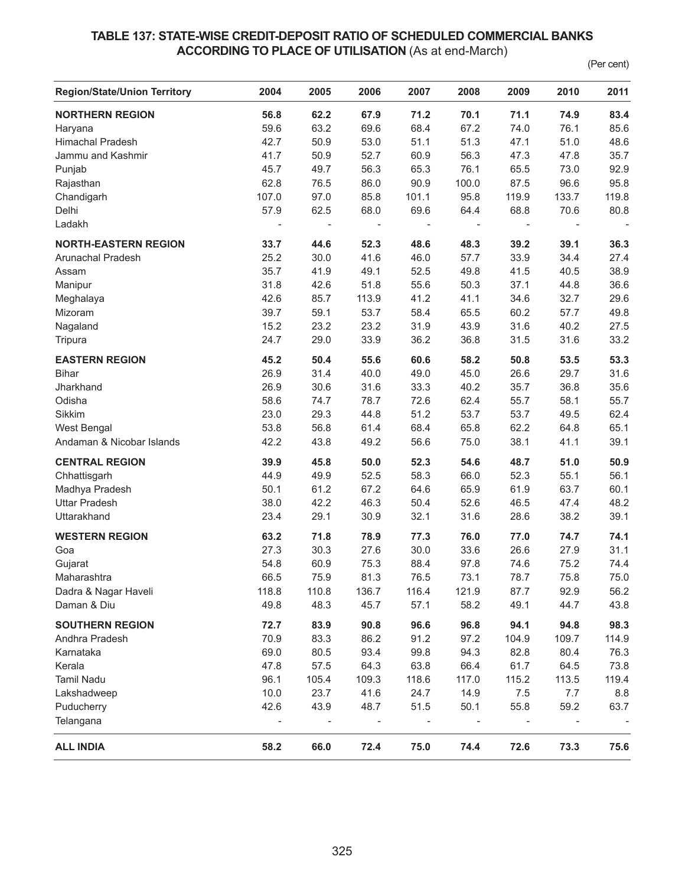## **TABLE 137: STATE-WISE CREDIT-DEPOSIT RATIO OF SCHEDULED COMMERCIAL BANKS ACCORDING TO PLACE OF UTILISATION (As at end-March)**

(Per cent)

| <b>Region/State/Union Territory</b> | 2004                     | 2005                         | 2006                     | 2007              | 2008                     | 2009                     | 2010                         | 2011                     |
|-------------------------------------|--------------------------|------------------------------|--------------------------|-------------------|--------------------------|--------------------------|------------------------------|--------------------------|
| <b>NORTHERN REGION</b>              | 56.8                     | 62.2                         | 67.9                     | 71.2              | 70.1                     | 71.1                     | 74.9                         | 83.4                     |
| Haryana                             | 59.6                     | 63.2                         | 69.6                     | 68.4              | 67.2                     | 74.0                     | 76.1                         | 85.6                     |
| <b>Himachal Pradesh</b>             | 42.7                     | 50.9                         | 53.0                     | 51.1              | 51.3                     | 47.1                     | 51.0                         | 48.6                     |
| Jammu and Kashmir                   | 41.7                     | 50.9                         | 52.7                     | 60.9              | 56.3                     | 47.3                     | 47.8                         | 35.7                     |
| Punjab                              | 45.7                     | 49.7                         | 56.3                     | 65.3              | 76.1                     | 65.5                     | 73.0                         | 92.9                     |
| Rajasthan                           | 62.8                     | 76.5                         | 86.0                     | 90.9              | 100.0                    | 87.5                     | 96.6                         | 95.8                     |
| Chandigarh                          | 107.0                    | 97.0                         | 85.8                     | 101.1             | 95.8                     | 119.9                    | 133.7                        | 119.8                    |
| Delhi                               | 57.9                     | 62.5                         | 68.0                     | 69.6              | 64.4                     | 68.8                     | 70.6                         | 80.8                     |
| Ladakh                              | $\overline{\phantom{a}}$ | $\qquad \qquad \blacksquare$ | $\overline{\phantom{a}}$ | $\qquad \qquad -$ | $\overline{\phantom{0}}$ | $\overline{\phantom{a}}$ | $\qquad \qquad \blacksquare$ | $\overline{\phantom{a}}$ |
| <b>NORTH-EASTERN REGION</b>         | 33.7                     | 44.6                         | 52.3                     | 48.6              | 48.3                     | 39.2                     | 39.1                         | 36.3                     |
| Arunachal Pradesh                   | 25.2                     | 30.0                         | 41.6                     | 46.0              | 57.7                     | 33.9                     | 34.4                         | 27.4                     |
| Assam                               | 35.7                     | 41.9                         | 49.1                     | 52.5              | 49.8                     | 41.5                     | 40.5                         | 38.9                     |
| Manipur                             | 31.8                     | 42.6                         | 51.8                     | 55.6              | 50.3                     | 37.1                     | 44.8                         | 36.6                     |
| Meghalaya                           | 42.6                     | 85.7                         | 113.9                    | 41.2              | 41.1                     | 34.6                     | 32.7                         | 29.6                     |
| Mizoram                             | 39.7                     | 59.1                         | 53.7                     | 58.4              | 65.5                     | 60.2                     | 57.7                         | 49.8                     |
| Nagaland                            | 15.2                     | 23.2                         | 23.2                     | 31.9              | 43.9                     | 31.6                     | 40.2                         | 27.5                     |
| Tripura                             | 24.7                     | 29.0                         | 33.9                     | 36.2              | 36.8                     | 31.5                     | 31.6                         | 33.2                     |
| <b>EASTERN REGION</b>               | 45.2                     | 50.4                         | 55.6                     | 60.6              | 58.2                     | 50.8                     | 53.5                         | 53.3                     |
| <b>Bihar</b>                        | 26.9                     | 31.4                         | 40.0                     | 49.0              | 45.0                     | 26.6                     | 29.7                         | 31.6                     |
| Jharkhand                           | 26.9                     | 30.6                         | 31.6                     | 33.3              | 40.2                     | 35.7                     | 36.8                         | 35.6                     |
| Odisha                              | 58.6                     | 74.7                         | 78.7                     | 72.6              | 62.4                     | 55.7                     | 58.1                         | 55.7                     |
| Sikkim                              | 23.0                     | 29.3                         | 44.8                     | 51.2              | 53.7                     | 53.7                     | 49.5                         | 62.4                     |
| West Bengal                         | 53.8                     | 56.8                         | 61.4                     | 68.4              | 65.8                     | 62.2                     | 64.8                         | 65.1                     |
| Andaman & Nicobar Islands           | 42.2                     | 43.8                         | 49.2                     | 56.6              | 75.0                     | 38.1                     | 41.1                         | 39.1                     |
| <b>CENTRAL REGION</b>               | 39.9                     | 45.8                         | 50.0                     | 52.3              | 54.6                     | 48.7                     | 51.0                         | 50.9                     |
| Chhattisgarh                        | 44.9                     | 49.9                         | 52.5                     | 58.3              | 66.0                     | 52.3                     | 55.1                         | 56.1                     |
| Madhya Pradesh                      | 50.1                     | 61.2                         | 67.2                     | 64.6              | 65.9                     | 61.9                     | 63.7                         | 60.1                     |
| <b>Uttar Pradesh</b>                | 38.0                     | 42.2                         | 46.3                     | 50.4              | 52.6                     | 46.5                     | 47.4                         | 48.2                     |
| Uttarakhand                         | 23.4                     | 29.1                         | 30.9                     | 32.1              | 31.6                     | 28.6                     | 38.2                         | 39.1                     |
| <b>WESTERN REGION</b>               | 63.2                     | 71.8                         | 78.9                     | 77.3              | 76.0                     | 77.0                     | 74.7                         | 74.1                     |
| Goa                                 | 27.3                     | 30.3                         | 27.6                     | 30.0              | 33.6                     | 26.6                     | 27.9                         | 31.1                     |
| Gujarat                             | 54.8                     | 60.9                         | 75.3                     | 88.4              | 97.8                     | 74.6                     | 75.2                         | 74.4                     |
| Maharashtra                         | 66.5                     | 75.9                         | 81.3                     | 76.5              | 73.1                     | 78.7                     | 75.8                         | 75.0                     |
| Dadra & Nagar Haveli                | 118.8                    | 110.8                        | 136.7                    | 116.4             | 121.9                    | 87.7                     | 92.9                         | 56.2                     |
| Daman & Diu                         | 49.8                     | 48.3                         | 45.7                     | 57.1              | 58.2                     | 49.1                     | 44.7                         | 43.8                     |
| <b>SOUTHERN REGION</b>              | 72.7                     | 83.9                         | 90.8                     | 96.6              | 96.8                     | 94.1                     | 94.8                         | 98.3                     |
| Andhra Pradesh                      | 70.9                     | 83.3                         | 86.2                     | 91.2              | 97.2                     | 104.9                    | 109.7                        | 114.9                    |
| Karnataka                           | 69.0                     | 80.5                         | 93.4                     | 99.8              | 94.3                     | 82.8                     | 80.4                         | 76.3                     |
| Kerala                              | 47.8                     | 57.5                         | 64.3                     | 63.8              | 66.4                     | 61.7                     | 64.5                         | 73.8                     |
| <b>Tamil Nadu</b>                   | 96.1                     | 105.4                        | 109.3                    | 118.6             | 117.0                    | 115.2                    | 113.5                        | 119.4                    |
| Lakshadweep                         | 10.0                     | 23.7                         | 41.6                     | 24.7              | 14.9                     | $7.5$                    | 7.7                          | $8.8\,$                  |
| Puducherry                          | 42.6                     | 43.9                         | 48.7                     | 51.5              | 50.1                     | 55.8                     | 59.2                         | 63.7                     |
| Telangana                           | $\overline{\phantom{a}}$ | $\overline{\phantom{a}}$     |                          |                   |                          | $\overline{\phantom{0}}$ | $\qquad \qquad \blacksquare$ |                          |
| <b>ALL INDIA</b>                    | 58.2                     | 66.0                         | 72.4                     | 75.0              | 74.4                     | 72.6                     | 73.3                         | 75.6                     |